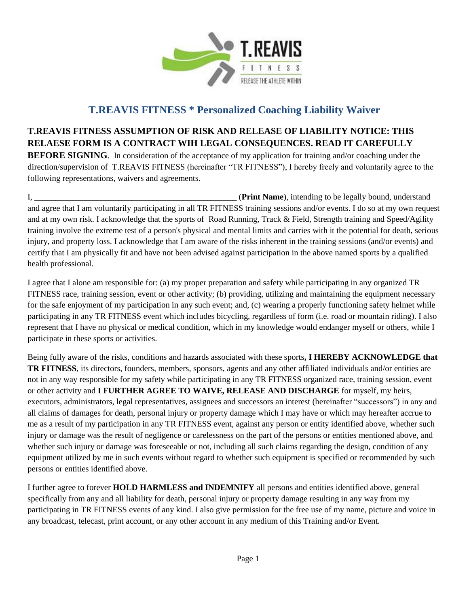

## **T.REAVIS FITNESS \* Personalized Coaching Liability Waiver**

## **T.REAVIS FITNESS ASSUMPTION OF RISK AND RELEASE OF LIABILITY NOTICE: THIS RELAESE FORM IS A CONTRACT WIH LEGAL CONSEQUENCES. READ IT CAREFULLY**

**BEFORE SIGNING**. In consideration of the acceptance of my application for training and/or coaching under the direction/supervision of T.REAVIS FITNESS (hereinafter "TR FITNESS"), I hereby freely and voluntarily agree to the following representations, waivers and agreements.

I, \_\_\_\_\_\_\_\_\_\_\_\_\_\_\_\_\_\_\_\_\_\_\_\_\_\_\_\_\_\_\_\_\_\_\_\_\_\_\_\_\_\_\_\_\_\_\_\_ (**Print Name**), intending to be legally bound, understand and agree that I am voluntarily participating in all TR FITNESS training sessions and/or events. I do so at my own request and at my own risk. I acknowledge that the sports of Road Running, Track & Field, Strength training and Speed/Agility training involve the extreme test of a person's physical and mental limits and carries with it the potential for death, serious injury, and property loss. I acknowledge that I am aware of the risks inherent in the training sessions (and/or events) and certify that I am physically fit and have not been advised against participation in the above named sports by a qualified health professional.

I agree that I alone am responsible for: (a) my proper preparation and safety while participating in any organized TR FITNESS race, training session, event or other activity; (b) providing, utilizing and maintaining the equipment necessary for the safe enjoyment of my participation in any such event; and, (c) wearing a properly functioning safety helmet while participating in any TR FITNESS event which includes bicycling, regardless of form (i.e. road or mountain riding). I also represent that I have no physical or medical condition, which in my knowledge would endanger myself or others, while I participate in these sports or activities.

Being fully aware of the risks, conditions and hazards associated with these sports**, I HEREBY ACKNOWLEDGE that TR FITNESS**, its directors, founders, members, sponsors, agents and any other affiliated individuals and/or entities are not in any way responsible for my safety while participating in any TR FITNESS organized race, training session, event or other activity and **I FURTHER AGREE TO WAIVE, RELEASE AND DISCHARGE** for myself, my heirs, executors, administrators, legal representatives, assignees and successors an interest (hereinafter "successors") in any and all claims of damages for death, personal injury or property damage which I may have or which may hereafter accrue to me as a result of my participation in any TR FITNESS event, against any person or entity identified above, whether such injury or damage was the result of negligence or carelessness on the part of the persons or entities mentioned above, and whether such injury or damage was foreseeable or not, including all such claims regarding the design, condition of any equipment utilized by me in such events without regard to whether such equipment is specified or recommended by such persons or entities identified above.

I further agree to forever **HOLD HARMLESS and INDEMNIFY** all persons and entities identified above, general specifically from any and all liability for death, personal injury or property damage resulting in any way from my participating in TR FITNESS events of any kind. I also give permission for the free use of my name, picture and voice in any broadcast, telecast, print account, or any other account in any medium of this Training and/or Event.